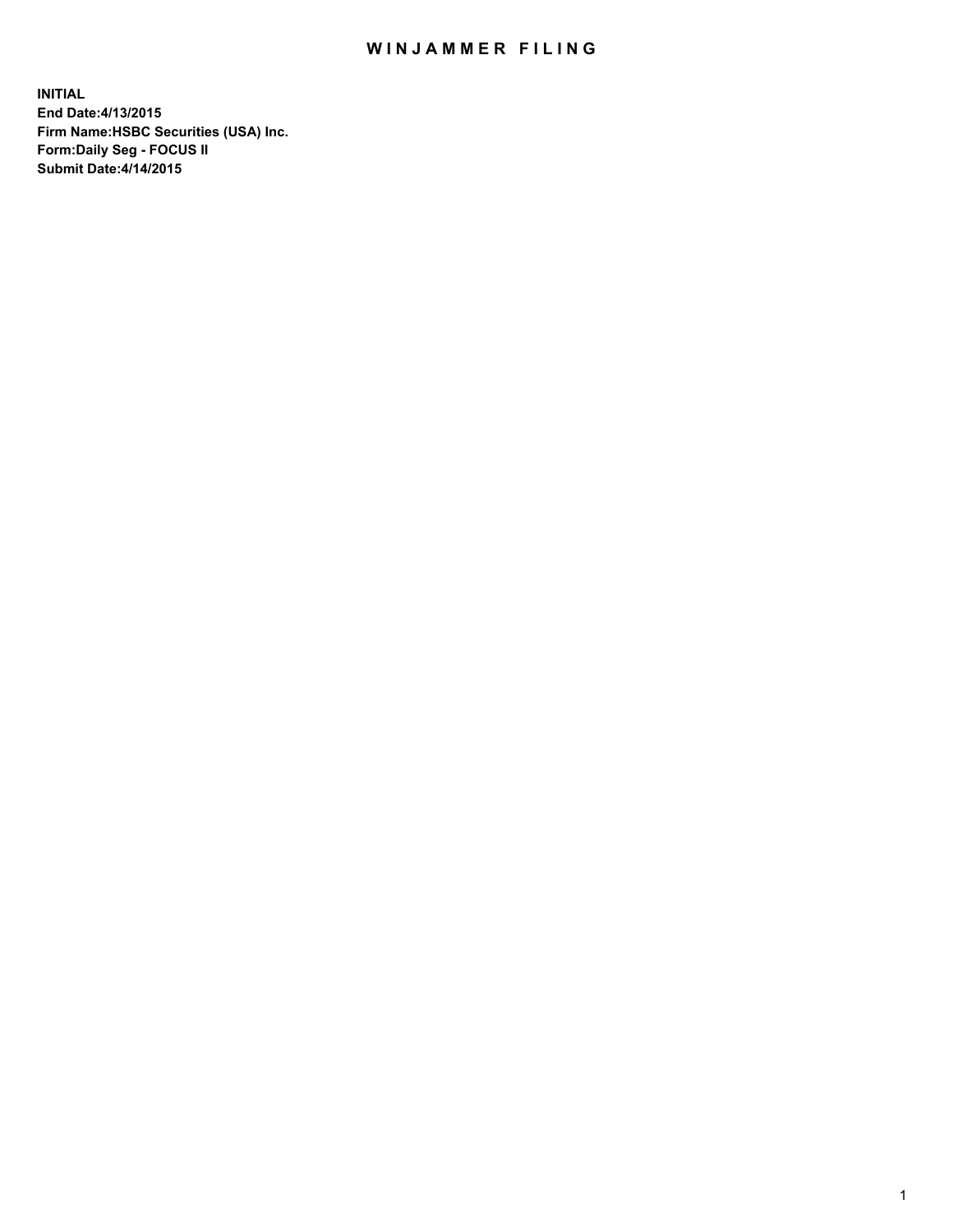## WIN JAMMER FILING

**INITIAL End Date:4/13/2015 Firm Name:HSBC Securities (USA) Inc. Form:Daily Seg - FOCUS II Submit Date:4/14/2015**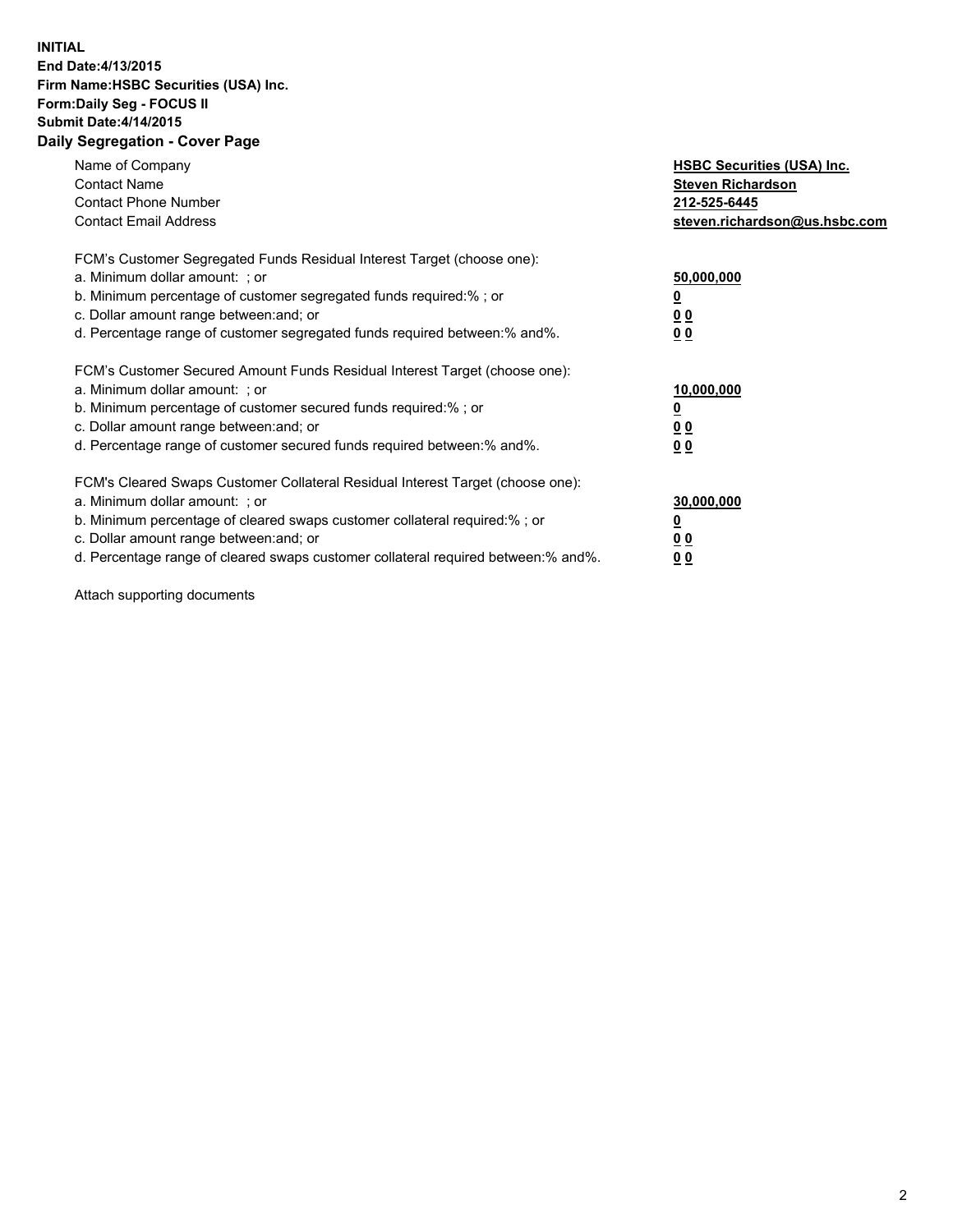## **INITIAL End Date:4/13/2015 Firm Name:HSBC Securities (USA) Inc. Form:Daily Seg - FOCUS II Submit Date:4/14/2015 Daily Segregation - Cover Page**

| Name of Company<br><b>Contact Name</b><br><b>Contact Phone Number</b><br><b>Contact Email Address</b>                                                                                                                                                                                                                          | <b>HSBC Securities (USA) Inc.</b><br><b>Steven Richardson</b><br>212-525-6445<br>steven.richardson@us.hsbc.com |
|--------------------------------------------------------------------------------------------------------------------------------------------------------------------------------------------------------------------------------------------------------------------------------------------------------------------------------|----------------------------------------------------------------------------------------------------------------|
| FCM's Customer Segregated Funds Residual Interest Target (choose one):<br>a. Minimum dollar amount: ; or<br>b. Minimum percentage of customer segregated funds required:%; or<br>c. Dollar amount range between: and; or<br>d. Percentage range of customer segregated funds required between: % and %.                        | 50,000,000<br>0 <sub>0</sub><br>0 <sub>0</sub>                                                                 |
| FCM's Customer Secured Amount Funds Residual Interest Target (choose one):<br>a. Minimum dollar amount: ; or<br>b. Minimum percentage of customer secured funds required:%; or<br>c. Dollar amount range between: and; or<br>d. Percentage range of customer secured funds required between:% and%.                            | 10,000,000<br><u>0</u><br>0 <sub>0</sub><br>0 <sub>0</sub>                                                     |
| FCM's Cleared Swaps Customer Collateral Residual Interest Target (choose one):<br>a. Minimum dollar amount: ; or<br>b. Minimum percentage of cleared swaps customer collateral required:% ; or<br>c. Dollar amount range between: and; or<br>d. Percentage range of cleared swaps customer collateral required between:% and%. | 30,000,000<br>00<br><u>00</u>                                                                                  |

Attach supporting documents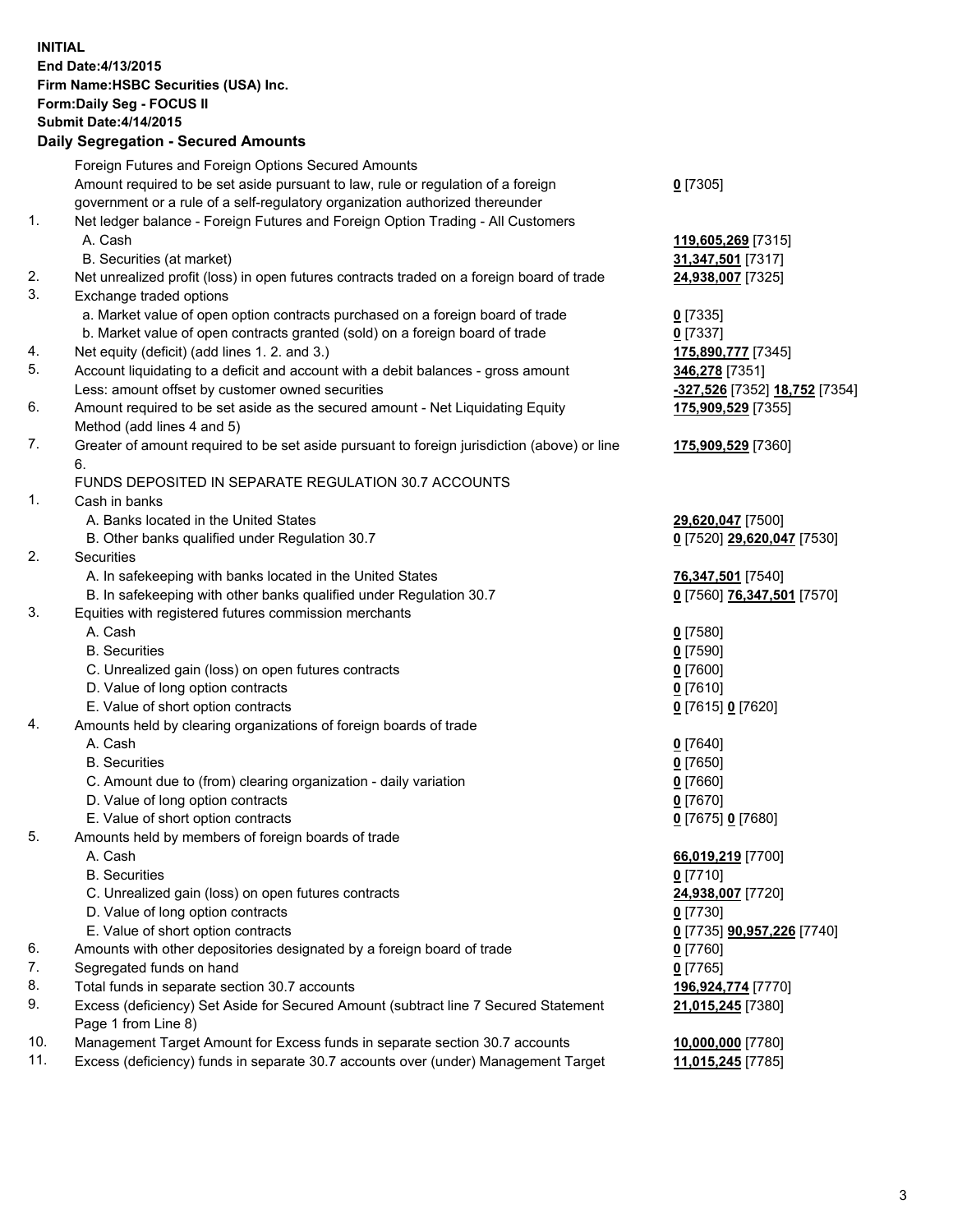**INITIAL End Date:4/13/2015 Firm Name:HSBC Securities (USA) Inc. Form:Daily Seg - FOCUS II Submit Date:4/14/2015 Daily Segregation - Secured Amounts**

Foreign Futures and Foreign Options Secured Amounts Amount required to be set aside pursuant to law, rule or regulation of a foreign government or a rule of a self-regulatory organization authorized thereunder **0** [7305] 1. Net ledger balance - Foreign Futures and Foreign Option Trading - All Customers A. Cash **119,605,269** [7315] B. Securities (at market) **31,347,501** [7317] 2. Net unrealized profit (loss) in open futures contracts traded on a foreign board of trade **24,938,007** [7325] 3. Exchange traded options a. Market value of open option contracts purchased on a foreign board of trade **0** [7335] b. Market value of open contracts granted (sold) on a foreign board of trade **0** [7337] 4. Net equity (deficit) (add lines 1. 2. and 3.) **175,890,777** [7345] 5. Account liquidating to a deficit and account with a debit balances - gross amount **346,278** [7351] Less: amount offset by customer owned securities **-327,526** [7352] **18,752** [7354] 6. Amount required to be set aside as the secured amount - Net Liquidating Equity Method (add lines 4 and 5) **175,909,529** [7355] 7. Greater of amount required to be set aside pursuant to foreign jurisdiction (above) or line 6. **175,909,529** [7360] FUNDS DEPOSITED IN SEPARATE REGULATION 30.7 ACCOUNTS 1. Cash in banks A. Banks located in the United States **29,620,047** [7500] B. Other banks qualified under Regulation 30.7 **0** [7520] **29,620,047** [7530] 2. Securities A. In safekeeping with banks located in the United States **76,347,501** [7540] B. In safekeeping with other banks qualified under Regulation 30.7 **0** [7560] **76,347,501** [7570] 3. Equities with registered futures commission merchants A. Cash **0** [7580] B. Securities **0** [7590] C. Unrealized gain (loss) on open futures contracts **0** [7600] D. Value of long option contracts **0** [7610] E. Value of short option contracts **0** [7615] **0** [7620] 4. Amounts held by clearing organizations of foreign boards of trade A. Cash **0** [7640] B. Securities **0** [7650] C. Amount due to (from) clearing organization - daily variation **0** [7660] D. Value of long option contracts **0** [7670] E. Value of short option contracts **0** [7675] **0** [7680] 5. Amounts held by members of foreign boards of trade A. Cash **66,019,219** [7700] B. Securities **0** [7710] C. Unrealized gain (loss) on open futures contracts **24,938,007** [7720] D. Value of long option contracts **0** [7730] E. Value of short option contracts **0** [7735] **90,957,226** [7740] 6. Amounts with other depositories designated by a foreign board of trade **0** [7760] 7. Segregated funds on hand **0** [7765] 8. Total funds in separate section 30.7 accounts **196,924,774** [7770] 9. Excess (deficiency) Set Aside for Secured Amount (subtract line 7 Secured Statement Page 1 from Line 8) **21,015,245** [7380] 10. Management Target Amount for Excess funds in separate section 30.7 accounts **10,000,000** [7780] 11. Excess (deficiency) funds in separate 30.7 accounts over (under) Management Target **11,015,245** [7785]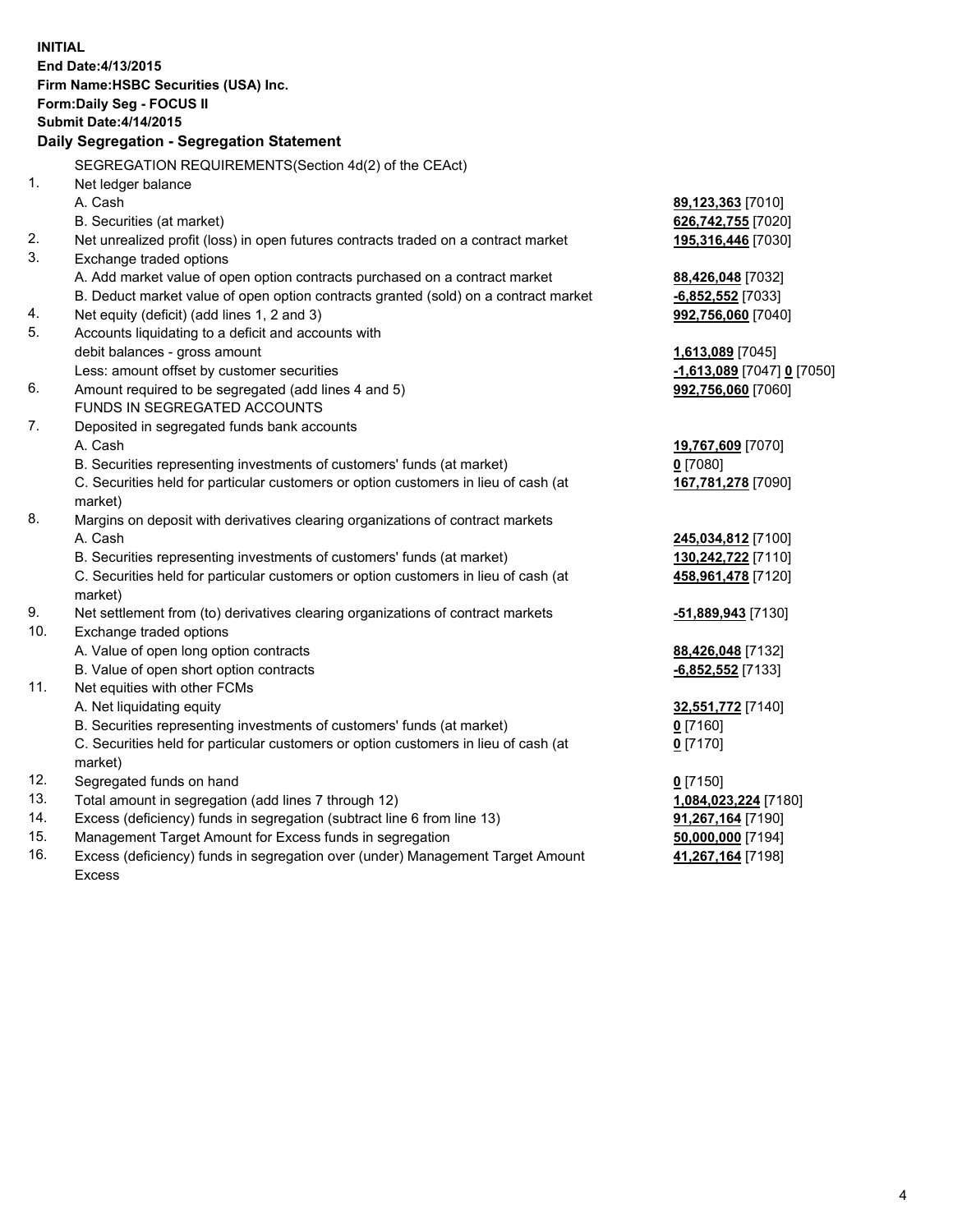| <b>INITIAL</b> | End Date: 4/13/2015<br>Firm Name: HSBC Securities (USA) Inc.<br>Form: Daily Seg - FOCUS II<br><b>Submit Date: 4/14/2015</b><br>Daily Segregation - Segregation Statement |                            |
|----------------|--------------------------------------------------------------------------------------------------------------------------------------------------------------------------|----------------------------|
|                | SEGREGATION REQUIREMENTS(Section 4d(2) of the CEAct)                                                                                                                     |                            |
| 1.             | Net ledger balance                                                                                                                                                       |                            |
|                | A. Cash                                                                                                                                                                  | 89,123,363 [7010]          |
|                | B. Securities (at market)                                                                                                                                                | 626,742,755 [7020]         |
| 2.             | Net unrealized profit (loss) in open futures contracts traded on a contract market                                                                                       | 195,316,446 [7030]         |
| 3.             | Exchange traded options                                                                                                                                                  |                            |
|                | A. Add market value of open option contracts purchased on a contract market                                                                                              | 88,426,048 [7032]          |
|                | B. Deduct market value of open option contracts granted (sold) on a contract market                                                                                      | $-6,852,552$ [7033]        |
| 4.             | Net equity (deficit) (add lines 1, 2 and 3)                                                                                                                              | 992,756,060 [7040]         |
| 5.             | Accounts liquidating to a deficit and accounts with                                                                                                                      |                            |
|                | debit balances - gross amount                                                                                                                                            | 1,613,089 [7045]           |
|                | Less: amount offset by customer securities                                                                                                                               | -1,613,089 [7047] 0 [7050] |
| 6.             | Amount required to be segregated (add lines 4 and 5)                                                                                                                     | 992,756,060 [7060]         |
|                | FUNDS IN SEGREGATED ACCOUNTS                                                                                                                                             |                            |
| 7.             | Deposited in segregated funds bank accounts                                                                                                                              |                            |
|                | A. Cash                                                                                                                                                                  | 19,767,609 [7070]          |
|                | B. Securities representing investments of customers' funds (at market)                                                                                                   | $0$ [7080]                 |
|                | C. Securities held for particular customers or option customers in lieu of cash (at<br>market)                                                                           | 167,781,278 [7090]         |
| 8.             | Margins on deposit with derivatives clearing organizations of contract markets                                                                                           |                            |
|                | A. Cash                                                                                                                                                                  | 245,034,812 [7100]         |
|                | B. Securities representing investments of customers' funds (at market)                                                                                                   | 130,242,722 [7110]         |
|                | C. Securities held for particular customers or option customers in lieu of cash (at<br>market)                                                                           | 458,961,478 [7120]         |
| 9.             | Net settlement from (to) derivatives clearing organizations of contract markets                                                                                          | <u>-51,889,943</u> [7130]  |
| 10.            | Exchange traded options                                                                                                                                                  |                            |
|                | A. Value of open long option contracts                                                                                                                                   | 88,426,048 [7132]          |
|                | B. Value of open short option contracts                                                                                                                                  | $-6,852,552$ [7133]        |
| 11.            | Net equities with other FCMs                                                                                                                                             |                            |
|                | A. Net liquidating equity                                                                                                                                                | 32,551,772 [7140]          |
|                | B. Securities representing investments of customers' funds (at market)                                                                                                   | 0 [7160]                   |
|                | C. Securities held for particular customers or option customers in lieu of cash (at<br>market)                                                                           | 0 <sup>[7170]</sup>        |
| 12.            | Segregated funds on hand                                                                                                                                                 | $0$ [7150]                 |
| 13.            | Total amount in segregation (add lines 7 through 12)                                                                                                                     | 1,084,023,224 [7180]       |
| 14.            | Excess (deficiency) funds in segregation (subtract line 6 from line 13)                                                                                                  | 91,267,164 [7190]          |
| 15.            | Management Target Amount for Excess funds in segregation                                                                                                                 | 50,000,000 [7194]          |
| 16.            | Excess (deficiency) funds in segregation over (under) Management Target Amount                                                                                           | 41,267,164 [7198]          |
|                | Excess                                                                                                                                                                   |                            |